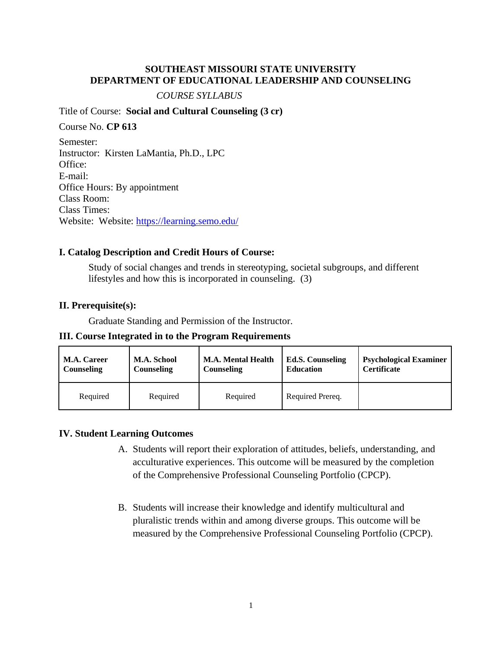## **SOUTHEAST MISSOURI STATE UNIVERSITY DEPARTMENT OF EDUCATIONAL LEADERSHIP AND COUNSELING**

### *COURSE SYLLABUS*

Title of Course: **Social and Cultural Counseling (3 cr)** 

Course No. **CP 613** Semester: Instructor: Kirsten LaMantia, Ph.D., LPC Office: E-mail: Office Hours: By appointment Class Room: Class Times: Website: Website:<https://learning.semo.edu/>

## **I. Catalog Description and Credit Hours of Course:**

Study of social changes and trends in stereotyping, societal subgroups, and different lifestyles and how this is incorporated in counseling. (3)

## **II. Prerequisite(s):**

Graduate Standing and Permission of the Instructor.

**III. Course Integrated in to the Program Requirements**

| <b>M.A. Career</b> | <b>M.A. School</b> | <b>M.A. Mental Health</b> | <b>Ed.S. Counseling</b> | <b>Psychological Examiner</b> |
|--------------------|--------------------|---------------------------|-------------------------|-------------------------------|
| <b>Counseling</b>  | <b>Counseling</b>  | Counseling                | <b>Education</b>        | <b>Certificate</b>            |
| Required           | Required           | Required                  | Required Prereq.        |                               |

## **IV. Student Learning Outcomes**

- A. Students will report their exploration of attitudes, beliefs, understanding, and acculturative experiences. This outcome will be measured by the completion of the Comprehensive Professional Counseling Portfolio (CPCP).
- B. Students will increase their knowledge and identify multicultural and pluralistic trends within and among diverse groups. This outcome will be measured by the Comprehensive Professional Counseling Portfolio (CPCP).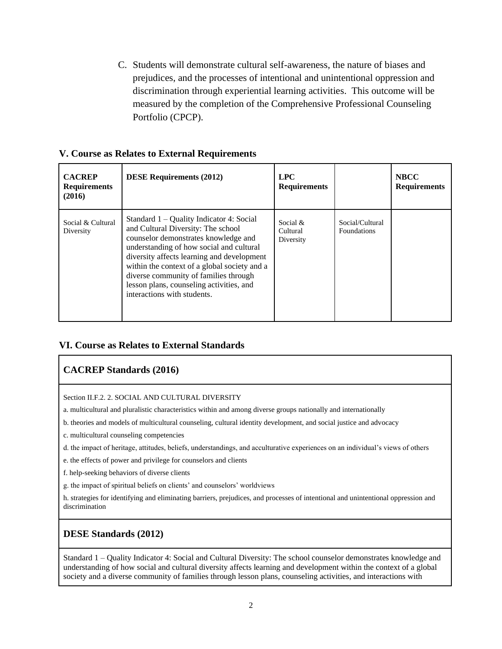C. Students will demonstrate cultural self-awareness, the nature of biases and prejudices, and the processes of intentional and unintentional oppression and discrimination through experiential learning activities. This outcome will be measured by the completion of the Comprehensive Professional Counseling Portfolio (CPCP).

|  |  |  | V. Course as Relates to External Requirements |
|--|--|--|-----------------------------------------------|
|  |  |  |                                               |

| <b>CACREP</b><br><b>Requirements</b><br>(2016) | <b>DESE Requirements (2012)</b>                                                                                                                                                                                                                                                                                                                                                        | <b>LPC</b><br><b>Requirements</b>    |                                       | <b>NBCC</b><br><b>Requirements</b> |
|------------------------------------------------|----------------------------------------------------------------------------------------------------------------------------------------------------------------------------------------------------------------------------------------------------------------------------------------------------------------------------------------------------------------------------------------|--------------------------------------|---------------------------------------|------------------------------------|
| Social & Cultural<br>Diversity                 | Standard $1 -$ Quality Indicator 4: Social<br>and Cultural Diversity: The school<br>counselor demonstrates knowledge and<br>understanding of how social and cultural<br>diversity affects learning and development<br>within the context of a global society and a<br>diverse community of families through<br>lesson plans, counseling activities, and<br>interactions with students. | Social $\&$<br>Cultural<br>Diversity | Social/Cultural<br><b>Foundations</b> |                                    |

## **VI. Course as Relates to External Standards**

# **CACREP Standards (2016)**

Section II.F.2. 2. SOCIAL AND CULTURAL DIVERSITY

a. multicultural and pluralistic characteristics within and among diverse groups nationally and internationally

b. theories and models of multicultural counseling, cultural identity development, and social justice and advocacy

c. multicultural counseling competencies

d. the impact of heritage, attitudes, beliefs, understandings, and acculturative experiences on an individual's views of others

e. the effects of power and privilege for counselors and clients

f. help-seeking behaviors of diverse clients

g. the impact of spiritual beliefs on clients' and counselors' worldviews

h. strategies for identifying and eliminating barriers, prejudices, and processes of intentional and unintentional oppression and discrimination

# **DESE Standards (2012)**

Standard 1 – Quality Indicator 4: Social and Cultural Diversity: The school counselor demonstrates knowledge and understanding of how social and cultural diversity affects learning and development within the context of a global society and a diverse community of families through lesson plans, counseling activities, and interactions with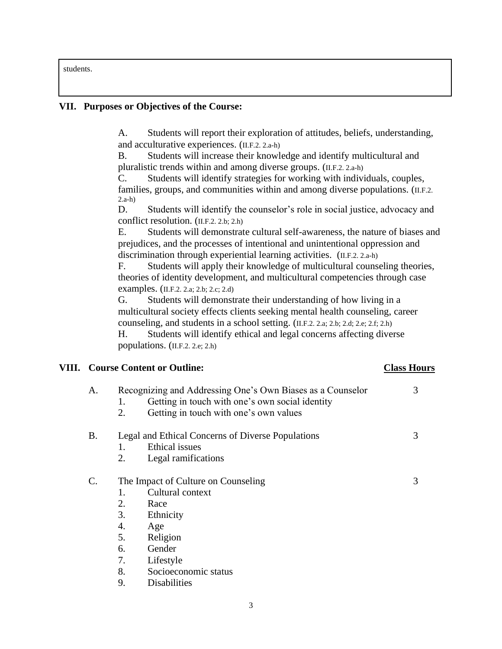students.

## **VII. Purposes or Objectives of the Course:**

A. Students will report their exploration of attitudes, beliefs, understanding, and acculturative experiences. (II.F.2. 2.a-h)

B. Students will increase their knowledge and identify multicultural and pluralistic trends within and among diverse groups. (II.F.2. 2.a-h)

C. Students will identify strategies for working with individuals, couples, families, groups, and communities within and among diverse populations. (I.F.2. 2.a-h)

D. Students will identify the counselor's role in social justice, advocacy and conflict resolution. (II.F.2. 2.b; 2.h)

E. Students will demonstrate cultural self-awareness, the nature of biases and prejudices, and the processes of intentional and unintentional oppression and discrimination through experiential learning activities. (II.F.2. 2.a-h)

F. Students will apply their knowledge of multicultural counseling theories, theories of identity development, and multicultural competencies through case examples. (II.F.2. 2.a; 2.b; 2.c; 2.d)

G. Students will demonstrate their understanding of how living in a multicultural society effects clients seeking mental health counseling, career counseling, and students in a school setting. (II.F.2. 2.a; 2.b; 2.d; 2.e; 2.f; 2.h)

H. Students will identify ethical and legal concerns affecting diverse populations. (II.F.2. 2.e; 2.h)

## **VIII. Course Content or Outline: Class Hours**

# A. Recognizing and Addressing One's Own Biases as a Counselor 3 1. Getting in touch with one's own social identity 2. Getting in touch with one's own values B. Legal and Ethical Concerns of Diverse Populations 3 1. Ethical issues 2. Legal ramifications C. The Impact of Culture on Counseling 3 1. Cultural context 2. Race 3. Ethnicity 4. Age 5. Religion 6. Gender 7. Lifestyle 8. Socioeconomic status 9. Disabilities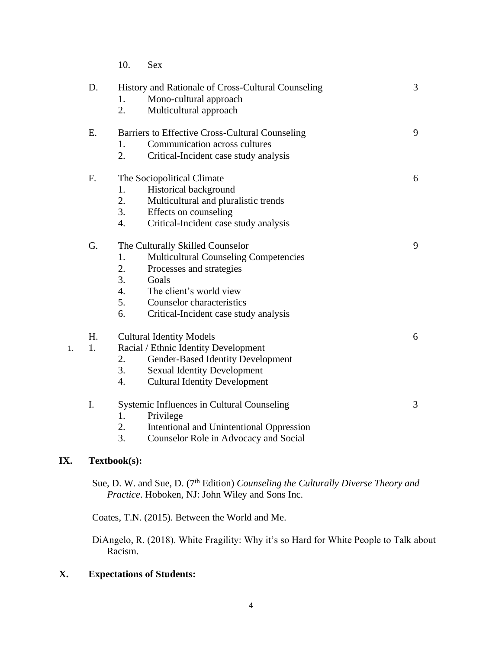|    |    | 10.              | <b>Sex</b>                                         |   |  |
|----|----|------------------|----------------------------------------------------|---|--|
|    | D. |                  | History and Rationale of Cross-Cultural Counseling | 3 |  |
|    |    | 1.               | Mono-cultural approach                             |   |  |
|    |    | 2.               | Multicultural approach                             |   |  |
|    | E. |                  | Barriers to Effective Cross-Cultural Counseling    | 9 |  |
|    |    | 1.               | Communication across cultures                      |   |  |
|    |    | 2.               | Critical-Incident case study analysis              |   |  |
|    | F. |                  | The Sociopolitical Climate                         | 6 |  |
|    |    | 1.               | Historical background                              |   |  |
|    |    | 2.               | Multicultural and pluralistic trends               |   |  |
|    |    | 3.               | Effects on counseling                              |   |  |
|    |    | 4.               | Critical-Incident case study analysis              |   |  |
|    | G. |                  | The Culturally Skilled Counselor                   | 9 |  |
|    |    | 1.               | <b>Multicultural Counseling Competencies</b>       |   |  |
|    |    | 2.               | Processes and strategies                           |   |  |
|    |    | 3.               | Goals                                              |   |  |
|    |    | $\overline{4}$ . | The client's world view                            |   |  |
|    |    | 5.               | Counselor characteristics                          |   |  |
|    |    | 6.               | Critical-Incident case study analysis              |   |  |
|    | H. |                  | <b>Cultural Identity Models</b>                    | 6 |  |
| 1. | 1. |                  | Racial / Ethnic Identity Development               |   |  |
|    |    | 2.               | Gender-Based Identity Development                  |   |  |
|    |    | 3.               | <b>Sexual Identity Development</b>                 |   |  |
|    |    | 4.               | <b>Cultural Identity Development</b>               |   |  |
|    | I. |                  | Systemic Influences in Cultural Counseling         | 3 |  |
|    |    | 1.               | Privilege                                          |   |  |
|    |    | 2.               | <b>Intentional and Unintentional Oppression</b>    |   |  |
|    |    | 3.               | Counselor Role in Advocacy and Social              |   |  |

# **IX. Textbook(s):**

Sue, D. W. and Sue, D. (7<sup>th</sup> Edition) *Counseling the Culturally Diverse Theory and Practice*. Hoboken, NJ: John Wiley and Sons Inc.

Coates, T.N. (2015). Between the World and Me.

DiAngelo, R. (2018). White Fragility: Why it's so Hard for White People to Talk about Racism.

# **X. Expectations of Students:**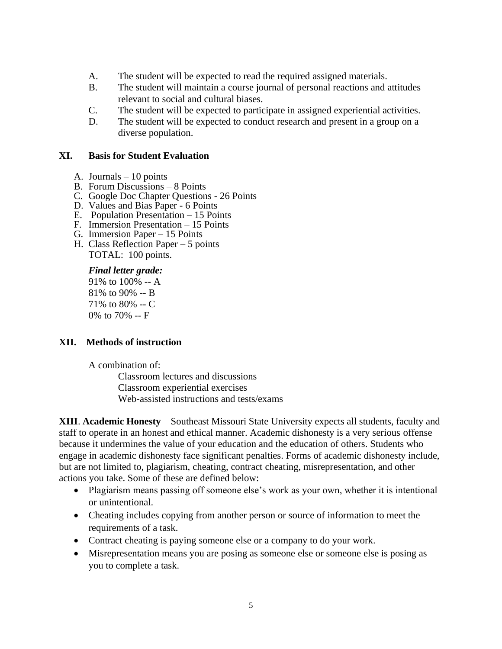- A. The student will be expected to read the required assigned materials.
- B. The student will maintain a course journal of personal reactions and attitudes relevant to social and cultural biases.
- C. The student will be expected to participate in assigned experiential activities.
- D. The student will be expected to conduct research and present in a group on a diverse population.

## **XI. Basis for Student Evaluation**

- A. Journals 10 points
- B. Forum Discussions 8 Points
- C. Google Doc Chapter Questions 26 Points
- D. Values and Bias Paper 6 Points
- E. Population Presentation 15 Points
- F. Immersion Presentation 15 Points
- G. Immersion Paper 15 Points
- H. Class Reflection Paper 5 points TOTAL: 100 points.

#### *Final letter grade:*

91% to 100% -- A 81% to 90% -- B 71% to 80% -- C 0% to 70% -- F

### **XII. Methods of instruction**

A combination of:

Classroom lectures and discussions Classroom experiential exercises Web-assisted instructions and tests/exams

**XIII**. **Academic Honesty** – Southeast Missouri State University expects all students, faculty and staff to operate in an honest and ethical manner. Academic dishonesty is a very serious offense because it undermines the value of your education and the education of others. Students who engage in academic dishonesty face significant penalties. Forms of academic dishonesty include, but are not limited to, plagiarism, cheating, contract cheating, misrepresentation, and other actions you take. Some of these are defined below:

- Plagiarism means passing off someone else's work as your own, whether it is intentional or unintentional.
- Cheating includes copying from another person or source of information to meet the requirements of a task.
- Contract cheating is paying someone else or a company to do your work.
- Misrepresentation means you are posing as someone else or someone else is posing as you to complete a task.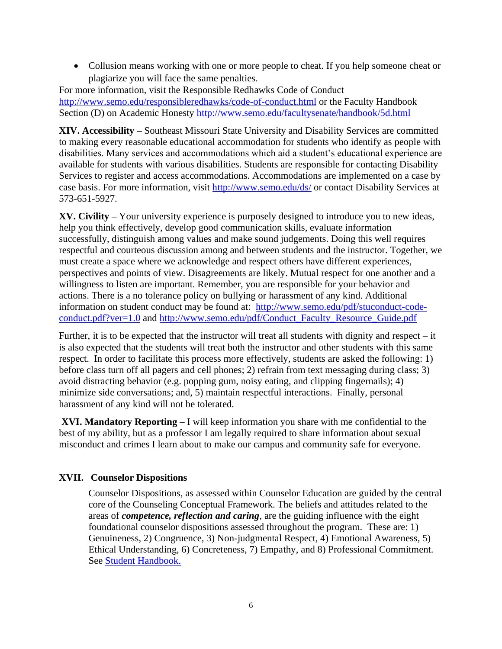• Collusion means working with one or more people to cheat. If you help someone cheat or plagiarize you will face the same penalties.

For more information, visit the Responsible Redhawks Code of Conduct <http://www.semo.edu/responsibleredhawks/code-of-conduct.html> or the Faculty Handbook Section (D) on Academic Honesty<http://www.semo.edu/facultysenate/handbook/5d.html>

**XIV. Accessibility –** Southeast Missouri State University and Disability Services are committed to making every reasonable educational accommodation for students who identify as people with disabilities. Many services and accommodations which aid a student's educational experience are available for students with various disabilities. Students are responsible for contacting Disability Services to register and access accommodations. Accommodations are implemented on a case by case basis. For more information, visit<http://www.semo.edu/ds/> or contact Disability Services at 573-651-5927.

**XV. Civility –** Your university experience is purposely designed to introduce you to new ideas, help you think effectively, develop good communication skills, evaluate information successfully, distinguish among values and make sound judgements. Doing this well requires respectful and courteous discussion among and between students and the instructor. Together, we must create a space where we acknowledge and respect others have different experiences, perspectives and points of view. Disagreements are likely. Mutual respect for one another and a willingness to listen are important. Remember, you are responsible for your behavior and actions. There is a no tolerance policy on bullying or harassment of any kind. Additional information on student conduct may be found at: [http://www.semo.edu/pdf/stuconduct-code](http://www.semo.edu/pdf/stuconduct-code-conduct.pdf?ver=1.0)[conduct.pdf?ver=1.0](http://www.semo.edu/pdf/stuconduct-code-conduct.pdf?ver=1.0) and [http://www.semo.edu/pdf/Conduct\\_Faculty\\_Resource\\_Guide.pdf](http://www.semo.edu/pdf/Conduct_Faculty_Resource_Guide.pdf)

Further, it is to be expected that the instructor will treat all students with dignity and respect – it is also expected that the students will treat both the instructor and other students with this same respect. In order to facilitate this process more effectively, students are asked the following: 1) before class turn off all pagers and cell phones; 2) refrain from text messaging during class; 3) avoid distracting behavior (e.g. popping gum, noisy eating, and clipping fingernails); 4) minimize side conversations; and, 5) maintain respectful interactions. Finally, personal harassment of any kind will not be tolerated.

**XVI. Mandatory Reporting** – I will keep information you share with me confidential to the best of my ability, but as a professor I am legally required to share information about sexual misconduct and crimes I learn about to make our campus and community safe for everyone.

# **XVII. Counselor Dispositions**

Counselor Dispositions, as assessed within Counselor Education are guided by the central core of the Counseling Conceptual Framework. The beliefs and attitudes related to the areas of *competence, reflection and caring*, are the guiding influence with the eight foundational counselor dispositions assessed throughout the program. These are: 1) Genuineness, 2) Congruence, 3) Non-judgmental Respect, 4) Emotional Awareness, 5) Ethical Understanding, 6) Concreteness, 7) Empathy, and 8) Professional Commitment. See [Student](http://www4.semo.edu/counsel/Forms/StudentHandbook.htm) [Handbook.](http://www4.semo.edu/counsel/Forms/StudentHandbook.htm)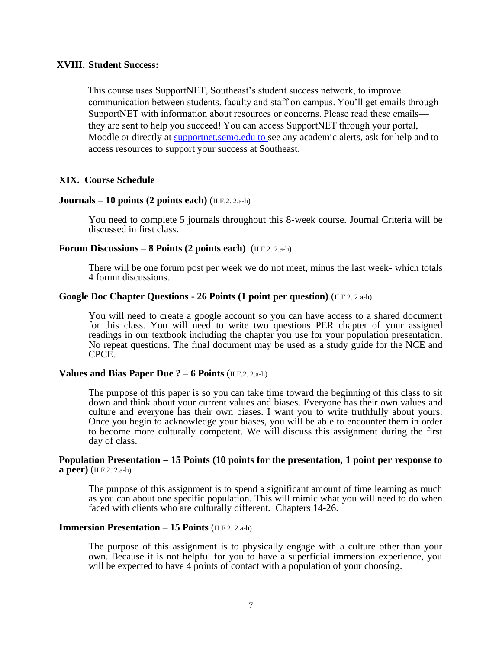### **XVIII. Student Success:**

This course uses SupportNET, Southeast's student success network, to improve communication between students, faculty and staff on campus. You'll get emails through SupportNET with information about resources or concerns. Please read these emails they are sent to help you succeed! You can access SupportNET through your portal, Moodle or directly at supportnet.semo.edu to see any academic alerts, ask for help and to access resources to support your success at Southeast.

### **XIX. Course Schedule**

### **Journals – 10 points (2 points each)** (II.F.2. 2.a-h)

You need to complete 5 journals throughout this 8-week course. Journal Criteria will be discussed in first class.

### **Forum Discussions – 8 Points (2 points each)** (II.F.2. 2.a-h)

There will be one forum post per week we do not meet, minus the last week- which totals 4 forum discussions.

### **Google Doc Chapter Questions - 26 Points (1 point per question)** (II.F.2. 2.a-h)

You will need to create a google account so you can have access to a shared document for this class. You will need to write two questions PER chapter of your assigned readings in our textbook including the chapter you use for your population presentation. No repeat questions. The final document may be used as a study guide for the NCE and CPCE.

### **Values and Bias Paper Due ? – 6 Points** (II.F.2. 2.a-h)

The purpose of this paper is so you can take time toward the beginning of this class to sit down and think about your current values and biases. Everyone has their own values and culture and everyone has their own biases. I want you to write truthfully about yours. Once you begin to acknowledge your biases, you will be able to encounter them in order to become more culturally competent. We will discuss this assignment during the first day of class.

#### **Population Presentation – 15 Points (10 points for the presentation, 1 point per response to a peer)** (II.F.2. 2.a-h)

The purpose of this assignment is to spend a significant amount of time learning as much as you can about one specific population. This will mimic what you will need to do when faced with clients who are culturally different. Chapters 14-26.

### **Immersion Presentation – 15 Points** (II.F.2. 2.a-h)

The purpose of this assignment is to physically engage with a culture other than your own. Because it is not helpful for you to have a superficial immersion experience, you will be expected to have 4 points of contact with a population of your choosing.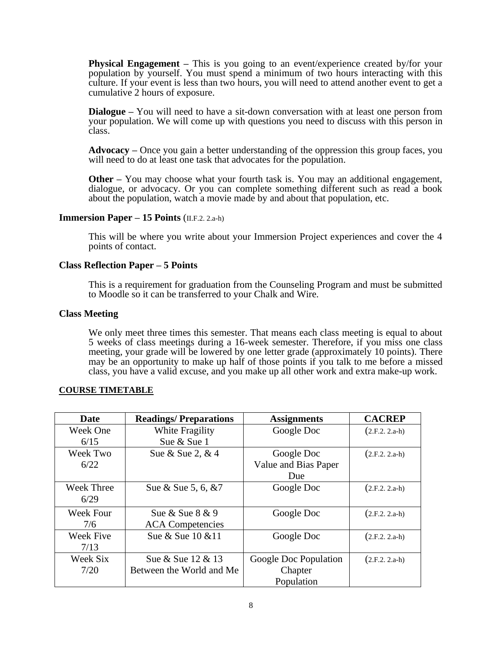**Physical Engagement –** This is you going to an event/experience created by/for your population by yourself. You must spend a minimum of two hours interacting with this culture. If your event is less than two hours, you will need to attend another event to get a cumulative 2 hours of exposure.

**Dialogue** – You will need to have a sit-down conversation with at least one person from your population. We will come up with questions you need to discuss with this person in class.

**Advocacy –** Once you gain a better understanding of the oppression this group faces, you will need to do at least one task that advocates for the population.

**Other** – You may choose what your fourth task is. You may an additional engagement, dialogue, or advocacy. Or you can complete something different such as read a book about the population, watch a movie made by and about that population, etc.

#### **Immersion Paper – 15 Points** (II.F.2. 2.a-h)

This will be where you write about your Immersion Project experiences and cover the 4 points of contact.

### **Class Reflection Paper – 5 Points**

This is a requirement for graduation from the Counseling Program and must be submitted to Moodle so it can be transferred to your Chalk and Wire.

#### **Class Meeting**

We only meet three times this semester. That means each class meeting is equal to about 5 weeks of class meetings during a 16-week semester. Therefore, if you miss one class meeting, your grade will be lowered by one letter grade (approximately 10 points). There may be an opportunity to make up half of those points if you talk to me before a missed class, you have a valid excuse, and you make up all other work and extra make-up work.

#### **COURSE TIMETABLE**

| <b>Date</b>       | <b>Readings/Preparations</b> | <b>Assignments</b>    | <b>CACREP</b>   |
|-------------------|------------------------------|-----------------------|-----------------|
| <b>Week One</b>   | White Fragility              | Google Doc            | $(2.F.2.2.a-h)$ |
| 6/15              | Sue & Sue 1                  |                       |                 |
| Week Two          | Sue & Sue 2, & 4             | Google Doc            | $(2.F.2.2.a-h)$ |
| 6/22              |                              | Value and Bias Paper  |                 |
|                   |                              | Due                   |                 |
| <b>Week Three</b> | Sue & Sue 5, 6, &7           | Google Doc            | $(2.F.2.2.a-h)$ |
| 6/29              |                              |                       |                 |
| <b>Week Four</b>  | Sue & Sue $8 \& 9$           | Google Doc            | $(2.F.2.2.a-h)$ |
| 7/6               | <b>ACA</b> Competencies      |                       |                 |
| <b>Week Five</b>  | Sue & Sue 10 & 11            | Google Doc            | $(2.F.2.2.a-h)$ |
| 7/13              |                              |                       |                 |
| Week Six          | Sue & Sue 12 & 13            | Google Doc Population | $(2.F.2.2.a-h)$ |
| 7/20              | Between the World and Me     | Chapter               |                 |
|                   |                              | Population            |                 |